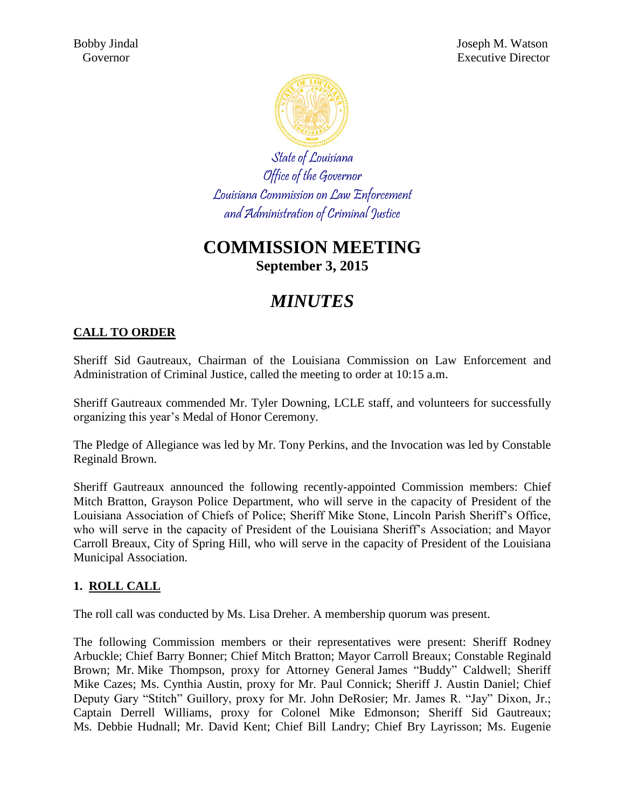

State of Louisiana Office of the Governor Louisiana Commission on Law Enforcement and Administration of Criminal Justice

# **COMMISSION MEETING September 3, 2015**

# *MINUTES*

#### **CALL TO ORDER**

Sheriff Sid Gautreaux, Chairman of the Louisiana Commission on Law Enforcement and Administration of Criminal Justice, called the meeting to order at 10:15 a.m.

Sheriff Gautreaux commended Mr. Tyler Downing, LCLE staff, and volunteers for successfully organizing this year's Medal of Honor Ceremony.

The Pledge of Allegiance was led by Mr. Tony Perkins, and the Invocation was led by Constable Reginald Brown.

Sheriff Gautreaux announced the following recently-appointed Commission members: Chief Mitch Bratton, Grayson Police Department, who will serve in the capacity of President of the Louisiana Association of Chiefs of Police; Sheriff Mike Stone, Lincoln Parish Sheriff's Office, who will serve in the capacity of President of the Louisiana Sheriff's Association; and Mayor Carroll Breaux, City of Spring Hill, who will serve in the capacity of President of the Louisiana Municipal Association.

#### **1. ROLL CALL**

The roll call was conducted by Ms. Lisa Dreher. A membership quorum was present.

The following Commission members or their representatives were present: Sheriff Rodney Arbuckle; Chief Barry Bonner; Chief Mitch Bratton; Mayor Carroll Breaux; Constable Reginald Brown; Mr. Mike Thompson, proxy for Attorney General James "Buddy" Caldwell; Sheriff Mike Cazes; Ms. Cynthia Austin, proxy for Mr. Paul Connick; Sheriff J. Austin Daniel; Chief Deputy Gary "Stitch" Guillory, proxy for Mr. John DeRosier; Mr. James R. "Jay" Dixon, Jr.; Captain Derrell Williams, proxy for Colonel Mike Edmonson; Sheriff Sid Gautreaux; Ms. Debbie Hudnall; Mr. David Kent; Chief Bill Landry; Chief Bry Layrisson; Ms. Eugenie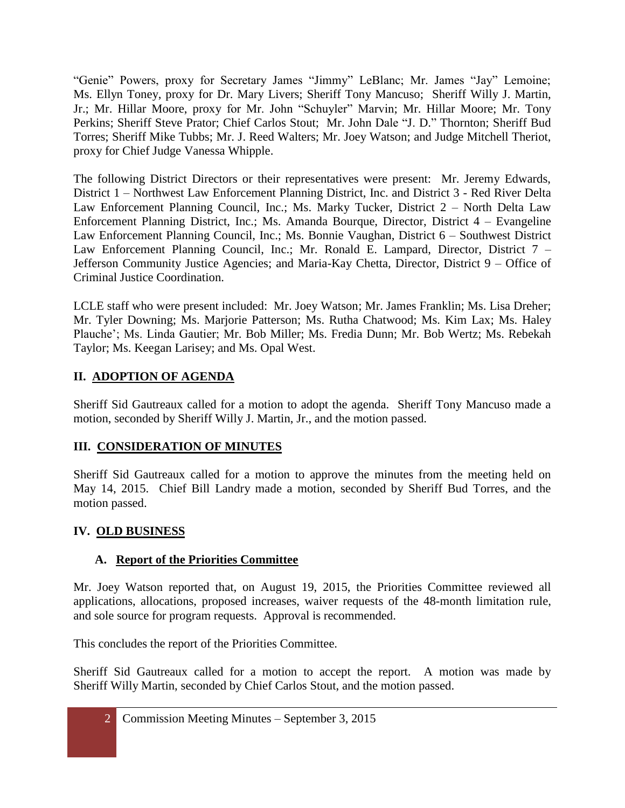"Genie" Powers, proxy for Secretary James "Jimmy" LeBlanc; Mr. James "Jay" Lemoine; Ms. Ellyn Toney, proxy for Dr. Mary Livers; Sheriff Tony Mancuso; Sheriff Willy J. Martin, Jr.; Mr. Hillar Moore, proxy for Mr. John "Schuyler" Marvin; Mr. Hillar Moore; Mr. Tony Perkins; Sheriff Steve Prator; Chief Carlos Stout; Mr. John Dale "J. D." Thornton; Sheriff Bud Torres; Sheriff Mike Tubbs; Mr. J. Reed Walters; Mr. Joey Watson; and Judge Mitchell Theriot, proxy for Chief Judge Vanessa Whipple.

The following District Directors or their representatives were present: Mr. Jeremy Edwards, District 1 – Northwest Law Enforcement Planning District, Inc. and District 3 - Red River Delta Law Enforcement Planning Council, Inc.; Ms. Marky Tucker, District 2 – North Delta Law Enforcement Planning District, Inc.; Ms. Amanda Bourque, Director, District 4 – Evangeline Law Enforcement Planning Council, Inc.; Ms. Bonnie Vaughan, District 6 – Southwest District Law Enforcement Planning Council, Inc.; Mr. Ronald E. Lampard, Director, District 7 – Jefferson Community Justice Agencies; and Maria-Kay Chetta, Director, District 9 – Office of Criminal Justice Coordination.

LCLE staff who were present included: Mr. Joey Watson; Mr. James Franklin; Ms. Lisa Dreher; Mr. Tyler Downing; Ms. Marjorie Patterson; Ms. Rutha Chatwood; Ms. Kim Lax; Ms. Haley Plauche'; Ms. Linda Gautier; Mr. Bob Miller; Ms. Fredia Dunn; Mr. Bob Wertz; Ms. Rebekah Taylor; Ms. Keegan Larisey; and Ms. Opal West.

## **II. ADOPTION OF AGENDA**

Sheriff Sid Gautreaux called for a motion to adopt the agenda. Sheriff Tony Mancuso made a motion, seconded by Sheriff Willy J. Martin, Jr., and the motion passed.

## **III. CONSIDERATION OF MINUTES**

Sheriff Sid Gautreaux called for a motion to approve the minutes from the meeting held on May 14, 2015. Chief Bill Landry made a motion, seconded by Sheriff Bud Torres, and the motion passed.

#### **IV. OLD BUSINESS**

## **A. Report of the Priorities Committee**

Mr. Joey Watson reported that, on August 19, 2015, the Priorities Committee reviewed all applications, allocations, proposed increases, waiver requests of the 48-month limitation rule, and sole source for program requests. Approval is recommended.

This concludes the report of the Priorities Committee.

Sheriff Sid Gautreaux called for a motion to accept the report. A motion was made by Sheriff Willy Martin, seconded by Chief Carlos Stout, and the motion passed.

2 Commission Meeting Minutes – September 3, 2015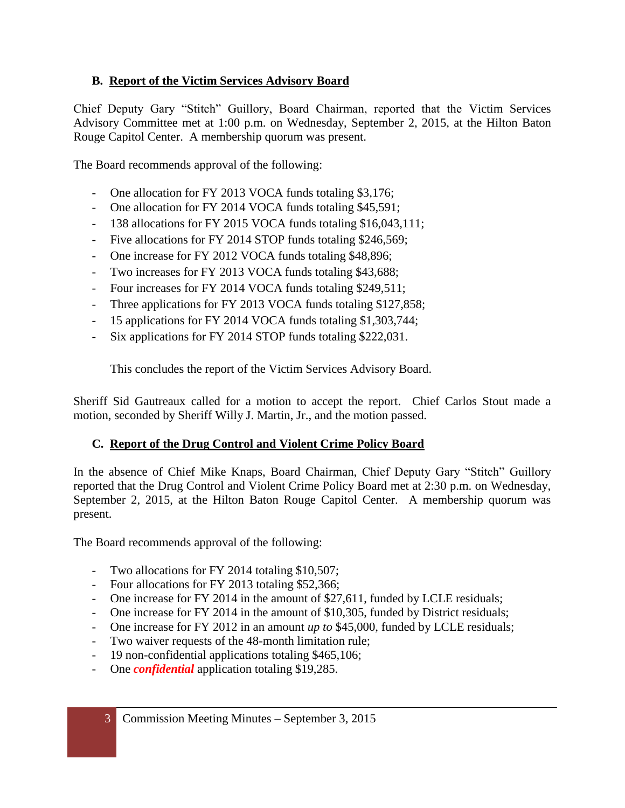#### **B. Report of the Victim Services Advisory Board**

Chief Deputy Gary "Stitch" Guillory, Board Chairman, reported that the Victim Services Advisory Committee met at 1:00 p.m. on Wednesday, September 2, 2015, at the Hilton Baton Rouge Capitol Center. A membership quorum was present.

The Board recommends approval of the following:

- One allocation for FY 2013 VOCA funds totaling \$3,176;
- One allocation for FY 2014 VOCA funds totaling \$45,591;
- 138 allocations for FY 2015 VOCA funds totaling \$16,043,111;
- Five allocations for FY 2014 STOP funds totaling \$246,569;
- One increase for FY 2012 VOCA funds totaling \$48,896;
- Two increases for FY 2013 VOCA funds totaling \$43,688;
- Four increases for FY 2014 VOCA funds totaling \$249,511;
- Three applications for FY 2013 VOCA funds totaling \$127,858;
- 15 applications for FY 2014 VOCA funds totaling \$1,303,744;
- Six applications for FY 2014 STOP funds totaling \$222,031.

This concludes the report of the Victim Services Advisory Board.

Sheriff Sid Gautreaux called for a motion to accept the report. Chief Carlos Stout made a motion, seconded by Sheriff Willy J. Martin, Jr., and the motion passed.

#### **C. Report of the Drug Control and Violent Crime Policy Board**

In the absence of Chief Mike Knaps, Board Chairman, Chief Deputy Gary "Stitch" Guillory reported that the Drug Control and Violent Crime Policy Board met at 2:30 p.m. on Wednesday, September 2, 2015, at the Hilton Baton Rouge Capitol Center. A membership quorum was present.

The Board recommends approval of the following:

- Two allocations for FY 2014 totaling \$10,507;
- Four allocations for FY 2013 totaling \$52,366;
- One increase for FY 2014 in the amount of \$27,611, funded by LCLE residuals;
- One increase for FY 2014 in the amount of \$10,305, funded by District residuals;
- One increase for FY 2012 in an amount *up to* \$45,000, funded by LCLE residuals;
- Two waiver requests of the 48-month limitation rule;
- 19 non-confidential applications totaling \$465,106;
- One *confidential* application totaling \$19,285.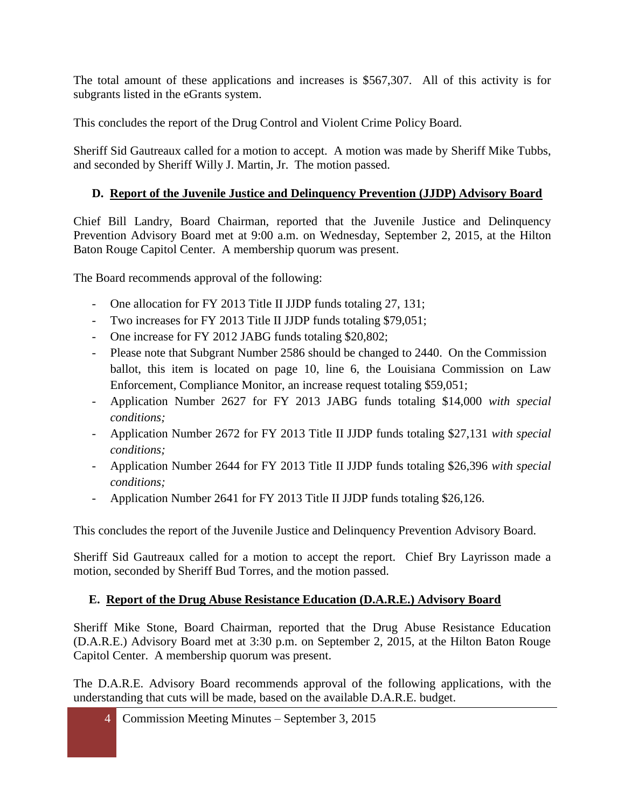The total amount of these applications and increases is \$567,307. All of this activity is for subgrants listed in the eGrants system.

This concludes the report of the Drug Control and Violent Crime Policy Board.

Sheriff Sid Gautreaux called for a motion to accept. A motion was made by Sheriff Mike Tubbs, and seconded by Sheriff Willy J. Martin, Jr. The motion passed.

#### **D. Report of the Juvenile Justice and Delinquency Prevention (JJDP) Advisory Board**

Chief Bill Landry, Board Chairman, reported that the Juvenile Justice and Delinquency Prevention Advisory Board met at 9:00 a.m. on Wednesday, September 2, 2015, at the Hilton Baton Rouge Capitol Center. A membership quorum was present.

The Board recommends approval of the following:

- One allocation for FY 2013 Title II JJDP funds totaling 27, 131;
- Two increases for FY 2013 Title II JJDP funds totaling \$79,051;
- One increase for FY 2012 JABG funds totaling \$20,802;
- Please note that Subgrant Number 2586 should be changed to 2440. On the Commission ballot, this item is located on page 10, line 6, the Louisiana Commission on Law Enforcement, Compliance Monitor, an increase request totaling \$59,051;
- Application Number 2627 for FY 2013 JABG funds totaling \$14,000 *with special conditions;*
- Application Number 2672 for FY 2013 Title II JJDP funds totaling \$27,131 *with special conditions;*
- Application Number 2644 for FY 2013 Title II JJDP funds totaling \$26,396 *with special conditions;*
- Application Number 2641 for FY 2013 Title II JJDP funds totaling \$26,126.

This concludes the report of the Juvenile Justice and Delinquency Prevention Advisory Board.

Sheriff Sid Gautreaux called for a motion to accept the report. Chief Bry Layrisson made a motion, seconded by Sheriff Bud Torres, and the motion passed.

#### **E. Report of the Drug Abuse Resistance Education (D.A.R.E.) Advisory Board**

Sheriff Mike Stone, Board Chairman, reported that the Drug Abuse Resistance Education (D.A.R.E.) Advisory Board met at 3:30 p.m. on September 2, 2015, at the Hilton Baton Rouge Capitol Center. A membership quorum was present.

The D.A.R.E. Advisory Board recommends approval of the following applications, with the understanding that cuts will be made, based on the available D.A.R.E. budget.

4 Commission Meeting Minutes – September 3, 2015